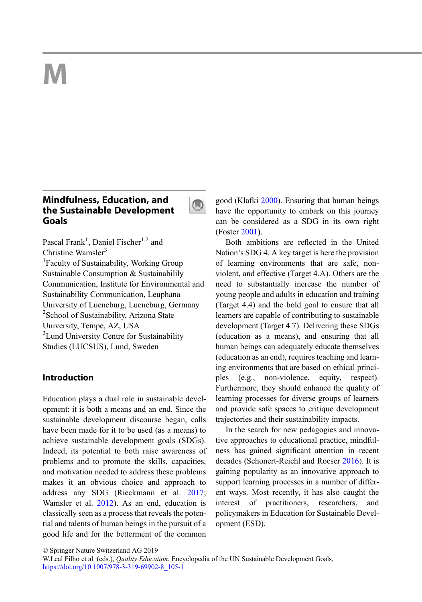# M

# Mindfulness, Education, and the Sustainable Development Goals



Pascal Frank<sup>1</sup>, Daniel Fischer<sup>1,2</sup> and Christine Wamsler<sup>3</sup>

<sup>1</sup>Faculty of Sustainability, Working Group Sustainable Consumption & Sustainabilily Communication, Institute for Environmental and Sustainability Communication, Leuphana University of Lueneburg, Lueneburg, Germany <sup>2</sup>School of Sustainability, Arizona State University, Tempe, AZ, USA <sup>3</sup> Lund University Centre for Sustainability Studies (LUCSUS), Lund, Sweden

# Introduction

Education plays a dual role in sustainable development: it is both a means and an end. Since the sustainable development discourse began, calls have been made for it to be used (as a means) to achieve sustainable development goals (SDGs). Indeed, its potential to both raise awareness of problems and to promote the skills, capacities, and motivation needed to address these problems makes it an obvious choice and approach to address any SDG (Rieckmann et al. [2017;](#page-9-0) Wamsler et al. [2012](#page-10-0)). As an end, education is classically seen as a process that reveals the potential and talents of human beings in the pursuit of a good life and for the betterment of the common

good (Klafki [2000](#page-9-0)). Ensuring that human beings have the opportunity to embark on this journey can be considered as a SDG in its own right (Foster [2001](#page-8-0)).

Both ambitions are reflected in the United Nation's SDG 4. A key target is here the provision of learning environments that are safe, nonviolent, and effective (Target 4.A). Others are the need to substantially increase the number of young people and adults in education and training (Target 4.4) and the bold goal to ensure that all learners are capable of contributing to sustainable development (Target 4.7). Delivering these SDGs (education as a means), and ensuring that all human beings can adequately educate themselves (education as an end), requires teaching and learning environments that are based on ethical principles (e.g., non-violence, equity, respect). Furthermore, they should enhance the quality of learning processes for diverse groups of learners and provide safe spaces to critique development trajectories and their sustainability impacts.

In the search for new pedagogies and innovative approaches to educational practice, mindfulness has gained significant attention in recent decades (Schonert-Reichl and Roeser [2016\)](#page-10-0). It is gaining popularity as an innovative approach to support learning processes in a number of different ways. Most recently, it has also caught the interest of practitioners, researchers, and policymakers in Education for Sustainable Development (ESD).

<sup>©</sup> Springer Nature Switzerland AG 2019

W.Leal Filho et al. (eds.), Quality Education, Encyclopedia of the UN Sustainable Development Goals, [https://doi.org/10.1007/978-3-319-69902-8\\_105-1](https://doi.org/10.1007/978-3-319-69902-8_105-1)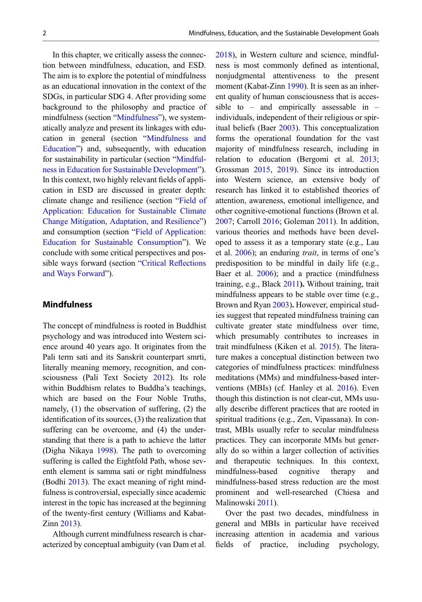<span id="page-1-0"></span>In this chapter, we critically assess the connection between mindfulness, education, and ESD. The aim is to explore the potential of mindfulness as an educational innovation in the context of the SDGs, in particular SDG 4. After providing some background to the philosophy and practice of mindfulness (section "Mindfulness"), we systematically analyze and present its linkages with education in general (section "[Mindfulness and](#page-2-0) [Education](#page-2-0)") and, subsequently, with education for sustainability in particular (section "[Mindful](#page-3-0)[ness in Education for Sustainable Development](#page-3-0)"). In this context, two highly relevant fields of application in ESD are discussed in greater depth: climate change and resilience (section "[Field of](#page-5-0) [Application: Education for Sustainable Climate](#page-5-0) [Change Mitigation, Adaptation, and Resilience](#page-5-0)") and consumption (section "[Field of Application:](#page-6-0) [Education for Sustainable Consumption](#page-6-0)"). We conclude with some critical perspectives and possible ways forward (section "[Critical Re](#page-7-0)flections [and Ways Forward](#page-7-0)").

### Mindfulness

The concept of mindfulness is rooted in Buddhist psychology and was introduced into Western science around 40 years ago. It originates from the Pali term sati and its Sanskrit counterpart smrti, literally meaning memory, recognition, and consciousness (Pali Text Society [2012](#page-9-0)). Its role within Buddhism relates to Buddha's teachings, which are based on the Four Noble Truths, namely, (1) the observation of suffering, (2) the identification of its sources, (3) the realization that suffering can be overcome, and (4) the understanding that there is a path to achieve the latter (Digha Nikaya [1998\)](#page-8-0). The path to overcoming suffering is called the Eightfold Path, whose seventh element is samma sati or right mindfulness (Bodhi [2013\)](#page-8-0). The exact meaning of right mindfulness is controversial, especially since academic interest in the topic has increased at the beginning of the twenty-first century (Williams and Kabat-Zinn [2013](#page-10-0)).

Although current mindfulness research is characterized by conceptual ambiguity (van Dam et al.

[2018\)](#page-10-0), in Western culture and science, mindfulness is most commonly defined as intentional, nonjudgmental attentiveness to the present moment (Kabat-Zinn [1990\)](#page-9-0). It is seen as an inherent quality of human consciousness that is accessible to – and empirically assessable in – individuals, independent of their religious or spiritual beliefs (Baer [2003\)](#page-7-0). This conceptualization forms the operational foundation for the vast majority of mindfulness research, including in relation to education (Bergomi et al. [2013;](#page-8-0) Grossman [2015,](#page-9-0) [2019\)](#page-9-0). Since its introduction into Western science, an extensive body of research has linked it to established theories of attention, awareness, emotional intelligence, and other cognitive-emotional functions (Brown et al. [2007;](#page-8-0) Carroll [2016](#page-8-0); Goleman [2011\)](#page-8-0). In addition, various theories and methods have been developed to assess it as a temporary state (e.g., Lau et al. [2006](#page-9-0)); an enduring *trait*, in terms of one's predisposition to be mindful in daily life (e.g., Baer et al. [2006](#page-7-0)); and a practice (mindfulness training, e.g., Black [2011](#page-8-0)). Without training, trait mindfulness appears to be stable over time (e.g., Brown and Ryan [2003](#page-8-0)). However, empirical studies suggest that repeated mindfulness training can cultivate greater state mindfulness over time, which presumably contributes to increases in trait mindfulness (Kiken et al. [2015\)](#page-9-0). The literature makes a conceptual distinction between two categories of mindfulness practices: mindfulness meditations (MMs) and mindfulness-based interventions (MBIs) (cf. Hanley et al. [2016](#page-9-0)). Even though this distinction is not clear-cut, MMs usually describe different practices that are rooted in spiritual traditions (e.g., Zen, Vipassana). In contrast, MBIs usually refer to secular mindfulness practices. They can incorporate MMs but generally do so within a larger collection of activities and therapeutic techniques. In this context, mindfulness-based cognitive therapy and mindfulness-based stress reduction are the most prominent and well-researched (Chiesa and Malinowski [2011\)](#page-8-0).

Over the past two decades, mindfulness in general and MBIs in particular have received increasing attention in academia and various fields of practice, including psychology,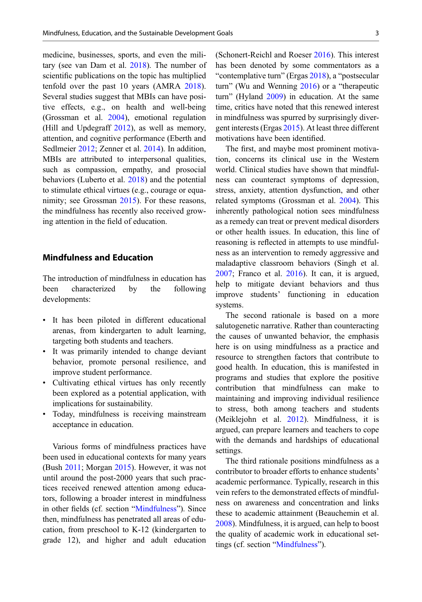<span id="page-2-0"></span>medicine, businesses, sports, and even the military (see van Dam et al. [2018](#page-10-0)). The number of scientific publications on the topic has multiplied tenfold over the past 10 years (AMRA [2018\)](#page-7-0). Several studies suggest that MBIs can have positive effects, e.g., on health and well-being (Grossman et al. [2004](#page-9-0)), emotional regulation (Hill and Updegraff [2012](#page-9-0)), as well as memory, attention, and cognitive performance (Eberth and Sedlmeier [2012;](#page-8-0) Zenner et al. [2014](#page-10-0)). In addition, MBIs are attributed to interpersonal qualities, such as compassion, empathy, and prosocial behaviors (Luberto et al. [2018](#page-9-0)) and the potential to stimulate ethical virtues (e.g., courage or equanimity; see Grossman [2015\)](#page-9-0). For these reasons, the mindfulness has recently also received growing attention in the field of education.

# Mindfulness and Education

The introduction of mindfulness in education has been characterized by the following developments:

- It has been piloted in different educational arenas, from kindergarten to adult learning, targeting both students and teachers.
- It was primarily intended to change deviant behavior, promote personal resilience, and improve student performance.
- Cultivating ethical virtues has only recently been explored as a potential application, with implications for sustainability.
- Today, mindfulness is receiving mainstream acceptance in education.

Various forms of mindfulness practices have been used in educational contexts for many years (Bush [2011](#page-8-0); Morgan [2015](#page-9-0)). However, it was not until around the post-2000 years that such practices received renewed attention among educators, following a broader interest in mindfulness in other fields (cf. section "[Mindfulness](#page-1-0)"). Since then, mindfulness has penetrated all areas of education, from preschool to K-12 (kindergarten to grade 12), and higher and adult education

(Schonert-Reichl and Roeser [2016\)](#page-10-0). This interest has been denoted by some commentators as a "contemplative turn" (Ergas [2018](#page-8-0)), a "postsecular turn" (Wu and Wenning [2016](#page-10-0)) or a "therapeutic turn" (Hyland [2009\)](#page-9-0) in education. At the same time, critics have noted that this renewed interest in mindfulness was spurred by surprisingly divergent interests (Ergas [2015\)](#page-8-0). At least three different motivations have been identified.

The first, and maybe most prominent motivation, concerns its clinical use in the Western world. Clinical studies have shown that mindfulness can counteract symptoms of depression, stress, anxiety, attention dysfunction, and other related symptoms (Grossman et al. [2004](#page-9-0)). This inherently pathological notion sees mindfulness as a remedy can treat or prevent medical disorders or other health issues. In education, this line of reasoning is reflected in attempts to use mindfulness as an intervention to remedy aggressive and maladaptive classroom behaviors (Singh et al. [2007;](#page-10-0) Franco et al. [2016](#page-8-0)). It can, it is argued, help to mitigate deviant behaviors and thus improve students' functioning in education systems.

The second rationale is based on a more salutogenetic narrative. Rather than counteracting the causes of unwanted behavior, the emphasis here is on using mindfulness as a practice and resource to strengthen factors that contribute to good health. In education, this is manifested in programs and studies that explore the positive contribution that mindfulness can make to maintaining and improving individual resilience to stress, both among teachers and students (Meiklejohn et al. [2012\)](#page-9-0). Mindfulness, it is argued, can prepare learners and teachers to cope with the demands and hardships of educational settings.

The third rationale positions mindfulness as a contributor to broader efforts to enhance students' academic performance. Typically, research in this vein refers to the demonstrated effects of mindfulness on awareness and concentration and links these to academic attainment (Beauchemin et al. [2008\)](#page-8-0). Mindfulness, it is argued, can help to boost the quality of academic work in educational settings (cf. section "[Mindfulness](#page-1-0)").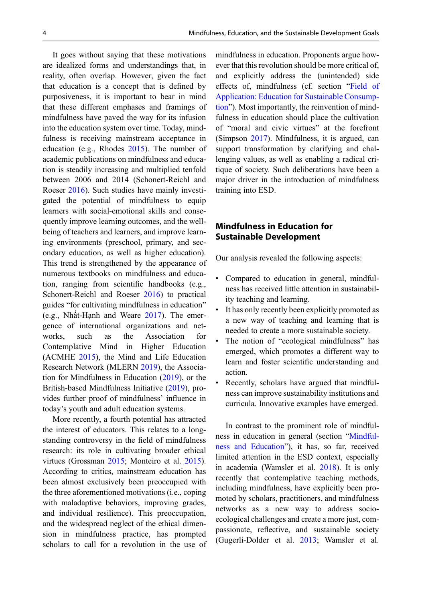<span id="page-3-0"></span>It goes without saying that these motivations are idealized forms and understandings that, in reality, often overlap. However, given the fact that education is a concept that is defined by purposiveness, it is important to bear in mind that these different emphases and framings of mindfulness have paved the way for its infusion into the education system over time. Today, mindfulness is receiving mainstream acceptance in education (e.g., Rhodes [2015](#page-9-0)). The number of academic publications on mindfulness and education is steadily increasing and multiplied tenfold between 2006 and 2014 (Schonert-Reichl and Roeser [2016\)](#page-10-0). Such studies have mainly investigated the potential of mindfulness to equip learners with social-emotional skills and consequently improve learning outcomes, and the wellbeing of teachers and learners, and improve learning environments (preschool, primary, and secondary education, as well as higher education). This trend is strengthened by the appearance of numerous textbooks on mindfulness and education, ranging from scientific handbooks (e.g., Schonert-Reichl and Roeser [2016\)](#page-10-0) to practical guides "for cultivating mindfulness in education" (e.g., Nhất-Hạnh and Weare [2017](#page-9-0)). The emergence of international organizations and networks, such as the Association for Contemplative Mind in Higher Education (ACMHE [2015](#page-7-0)), the Mind and Life Education Research Network (MLERN [2019\)](#page-9-0), the Association for Mindfulness in Education [\(2019](#page-7-0)), or the British-based Mindfulness Initiative [\(2019](#page-9-0)), provides further proof of mindfulness' influence in today's youth and adult education systems.

More recently, a fourth potential has attracted the interest of educators. This relates to a longstanding controversy in the field of mindfulness research: its role in cultivating broader ethical virtues (Grossman [2015](#page-9-0); Monteiro et al. [2015\)](#page-9-0). According to critics, mainstream education has been almost exclusively been preoccupied with the three aforementioned motivations (i.e., coping with maladaptive behaviors, improving grades, and individual resilience). This preoccupation, and the widespread neglect of the ethical dimension in mindfulness practice, has prompted scholars to call for a revolution in the use of

mindfulness in education. Proponents argue however that this revolution should be more critical of, and explicitly address the (unintended) side effects of, mindfulness (cf. section "[Field of](#page-6-0) [Application: Education for Sustainable Consump](#page-6-0)[tion](#page-6-0)"). Most importantly, the reinvention of mindfulness in education should place the cultivation of "moral and civic virtues" at the forefront (Simpson [2017](#page-10-0)). Mindfulness, it is argued, can support transformation by clarifying and challenging values, as well as enabling a radical critique of society. Such deliberations have been a major driver in the introduction of mindfulness training into ESD.

# Mindfulness in Education for Sustainable Development

Our analysis revealed the following aspects:

- Compared to education in general, mindfulness has received little attention in sustainability teaching and learning.
- It has only recently been explicitly promoted as a new way of teaching and learning that is needed to create a more sustainable society.
- The notion of "ecological mindfulness" has emerged, which promotes a different way to learn and foster scientific understanding and action.
- Recently, scholars have argued that mindfulness can improve sustainability institutions and curricula. Innovative examples have emerged.

In contrast to the prominent role of mindfulness in education in general (section "[Mindful](#page-2-0)[ness and Education](#page-2-0)"), it has, so far, received limited attention in the ESD context, especially in academia (Wamsler et al. [2018\)](#page-10-0). It is only recently that contemplative teaching methods, including mindfulness, have explicitly been promoted by scholars, practitioners, and mindfulness networks as a new way to address socioecological challenges and create a more just, compassionate, reflective, and sustainable society (Gugerli-Dolder et al. [2013;](#page-9-0) Wamsler et al.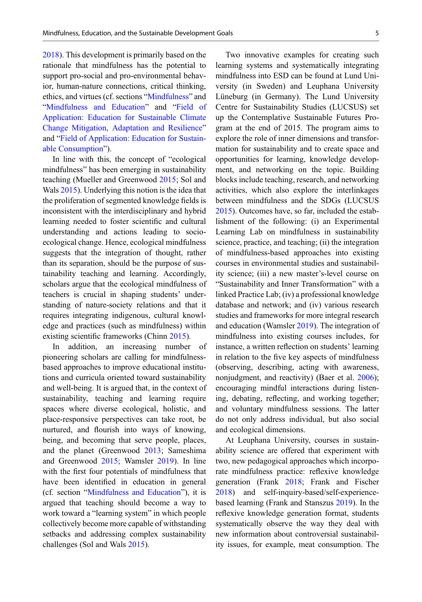[2018\)](#page-10-0). This development is primarily based on the rationale that mindfulness has the potential to support pro-social and pro-environmental behavior, human-nature connections, critical thinking, ethics, and virtues (cf. sections "[Mindfulness](#page-1-0)" and "[Mindfulness and Education](#page-2-0)" and "[Field of](#page-5-0) [Application: Education for Sustainable Climate](#page-5-0) [Change Mitigation, Adaptation and Resilience](#page-5-0)" and "[Field of Application: Education for Sustain](#page-6-0)[able Consumption](#page-6-0)").

In line with this, the concept of "ecological mindfulness" has been emerging in sustainability teaching (Mueller and Greenwood [2015;](#page-9-0) Sol and Wals [2015\)](#page-10-0). Underlying this notion is the idea that the proliferation of segmented knowledge fields is inconsistent with the interdisciplinary and hybrid learning needed to foster scientific and cultural understanding and actions leading to socioecological change. Hence, ecological mindfulness suggests that the integration of thought, rather than its separation, should be the purpose of sustainability teaching and learning. Accordingly, scholars argue that the ecological mindfulness of teachers is crucial in shaping students' understanding of nature-society relations and that it requires integrating indigenous, cultural knowledge and practices (such as mindfulness) within existing scientific frameworks (Chinn [2015\)](#page-8-0).

In addition, an increasing number of pioneering scholars are calling for mindfulnessbased approaches to improve educational institutions and curricula oriented toward sustainability and well-being. It is argued that, in the context of sustainability, teaching and learning require spaces where diverse ecological, holistic, and place-responsive perspectives can take root, be nurtured, and flourish into ways of knowing, being, and becoming that serve people, places, and the planet (Greenwood [2013;](#page-9-0) Sameshima and Greenwood [2015](#page-10-0); Wamsler [2019](#page-10-0)). In line with the first four potentials of mindfulness that have been identified in education in general (cf. section "[Mindfulness and Education](#page-2-0)"), it is argued that teaching should become a way to work toward a "learning system" in which people collectively become more capable of withstanding setbacks and addressing complex sustainability challenges (Sol and Wals [2015](#page-10-0)).

Two innovative examples for creating such learning systems and systematically integrating mindfulness into ESD can be found at Lund University (in Sweden) and Leuphana University Lüneburg (in Germany). The Lund University Centre for Sustainability Studies (LUCSUS) set up the Contemplative Sustainable Futures Program at the end of 2015. The program aims to explore the role of inner dimensions and transformation for sustainability and to create space and opportunities for learning, knowledge development, and networking on the topic. Building blocks include teaching, research, and networking activities, which also explore the interlinkages between mindfulness and the SDGs (LUCSUS [2015\)](#page-9-0). Outcomes have, so far, included the establishment of the following: (i) an Experimental Learning Lab on mindfulness in sustainability science, practice, and teaching; (ii) the integration of mindfulness-based approaches into existing courses in environmental studies and sustainability science; (iii) a new master's-level course on "Sustainability and Inner Transformation" with a linked Practice Lab; (iv) a professional knowledge database and network; and (iv) various research studies and frameworks for more integral research and education (Wamsler [2019](#page-10-0)). The integration of mindfulness into existing courses includes, for instance, a written reflection on students' learning in relation to the five key aspects of mindfulness (observing, describing, acting with awareness, nonjudgment, and reactivity) (Baer et al. [2006\)](#page-7-0); encouraging mindful interactions during listening, debating, reflecting, and working together; and voluntary mindfulness sessions. The latter do not only address individual, but also social and ecological dimensions.

At Leuphana University, courses in sustainability science are offered that experiment with two, new pedagogical approaches which incorporate mindfulness practice: reflexive knowledge generation (Frank [2018](#page-8-0); Frank and Fischer [2018\)](#page-8-0) and self-inquiry-based/self-experiencebased learning (Frank and Stanszus [2019\)](#page-8-0). In the reflexive knowledge generation format, students systematically observe the way they deal with new information about controversial sustainability issues, for example, meat consumption. The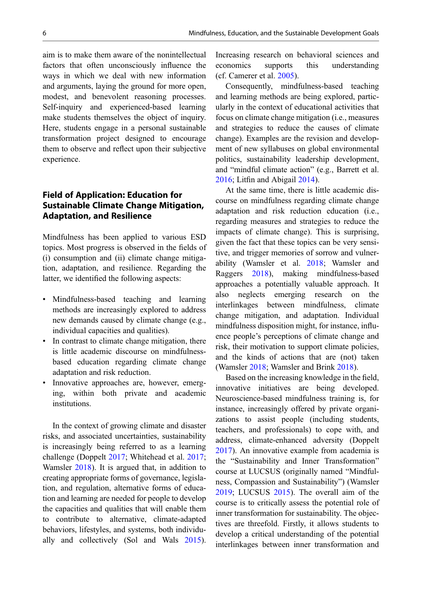<span id="page-5-0"></span>aim is to make them aware of the nonintellectual factors that often unconsciously influence the ways in which we deal with new information and arguments, laying the ground for more open, modest, and benevolent reasoning processes. Self-inquiry and experienced-based learning make students themselves the object of inquiry. Here, students engage in a personal sustainable transformation project designed to encourage them to observe and reflect upon their subjective experience.

# Field of Application: Education for Sustainable Climate Change Mitigation, Adaptation, and Resilience

Mindfulness has been applied to various ESD topics. Most progress is observed in the fields of (i) consumption and (ii) climate change mitigation, adaptation, and resilience. Regarding the latter, we identified the following aspects:

- Mindfulness-based teaching and learning methods are increasingly explored to address new demands caused by climate change (e.g., individual capacities and qualities).
- In contrast to climate change mitigation, there is little academic discourse on mindfulnessbased education regarding climate change adaptation and risk reduction.
- Innovative approaches are, however, emerging, within both private and academic institutions.

In the context of growing climate and disaster risks, and associated uncertainties, sustainability is increasingly being referred to as a learning challenge (Doppelt [2017;](#page-8-0) Whitehead et al. [2017;](#page-10-0) Wamsler [2018\)](#page-10-0). It is argued that, in addition to creating appropriate forms of governance, legislation, and regulation, alternative forms of education and learning are needed for people to develop the capacities and qualities that will enable them to contribute to alternative, climate-adapted behaviors, lifestyles, and systems, both individually and collectively (Sol and Wals [2015\)](#page-10-0). Increasing research on behavioral sciences and economics supports this understanding (cf. Camerer et al. [2005](#page-8-0)).

Consequently, mindfulness-based teaching and learning methods are being explored, particularly in the context of educational activities that focus on climate change mitigation (i.e., measures and strategies to reduce the causes of climate change). Examples are the revision and development of new syllabuses on global environmental politics, sustainability leadership development, and "mindful climate action" (e.g., Barrett et al. [2016;](#page-7-0) Litfin and Abigail [2014\)](#page-9-0).

At the same time, there is little academic discourse on mindfulness regarding climate change adaptation and risk reduction education (i.e., regarding measures and strategies to reduce the impacts of climate change). This is surprising, given the fact that these topics can be very sensitive, and trigger memories of sorrow and vulnerability (Wamsler et al. [2018](#page-10-0); Wamsler and Raggers [2018\)](#page-10-0), making mindfulness-based approaches a potentially valuable approach. It also neglects emerging research on the interlinkages between mindfulness, climate change mitigation, and adaptation. Individual mindfulness disposition might, for instance, influence people's perceptions of climate change and risk, their motivation to support climate policies, and the kinds of actions that are (not) taken (Wamsler [2018;](#page-10-0) Wamsler and Brink [2018](#page-10-0)).

Based on the increasing knowledge in the field, innovative initiatives are being developed. Neuroscience-based mindfulness training is, for instance, increasingly offered by private organizations to assist people (including students, teachers, and professionals) to cope with, and address, climate-enhanced adversity (Doppelt [2017\)](#page-8-0). An innovative example from academia is the "Sustainability and Inner Transformation" course at LUCSUS (originally named "Mindfulness, Compassion and Sustainability") (Wamsler [2019;](#page-10-0) LUCSUS [2015\)](#page-9-0). The overall aim of the course is to critically assess the potential role of inner transformation for sustainability. The objectives are threefold. Firstly, it allows students to develop a critical understanding of the potential interlinkages between inner transformation and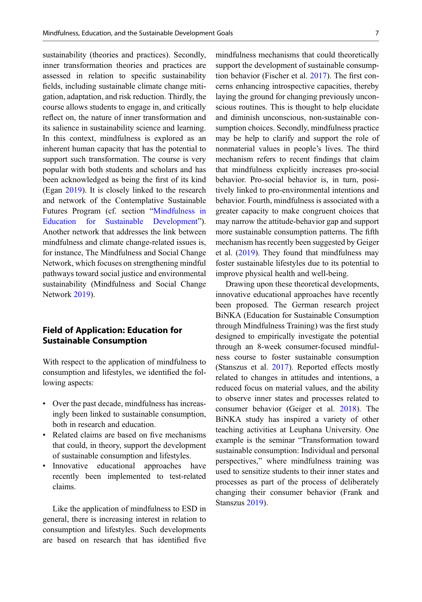<span id="page-6-0"></span>sustainability (theories and practices). Secondly, inner transformation theories and practices are assessed in relation to specific sustainability fields, including sustainable climate change mitigation, adaptation, and risk reduction. Thirdly, the course allows students to engage in, and critically reflect on, the nature of inner transformation and its salience in sustainability science and learning. In this context, mindfulness is explored as an inherent human capacity that has the potential to support such transformation. The course is very popular with both students and scholars and has been acknowledged as being the first of its kind (Egan [2019](#page-8-0)). It is closely linked to the research and network of the Contemplative Sustainable Futures Program (cf. section "[Mindfulness in](#page-3-0) [Education for Sustainable Development](#page-3-0)"). Another network that addresses the link between mindfulness and climate change-related issues is, for instance, The Mindfulness and Social Change Network, which focuses on strengthening mindful pathways toward social justice and environmental sustainability (Mindfulness and Social Change Network [2019](#page-9-0)).

# Field of Application: Education for Sustainable Consumption

With respect to the application of mindfulness to consumption and lifestyles, we identified the following aspects:

- Over the past decade, mindfulness has increasingly been linked to sustainable consumption, both in research and education.
- Related claims are based on five mechanisms that could, in theory, support the development of sustainable consumption and lifestyles.
- Innovative educational approaches have recently been implemented to test-related claims.

Like the application of mindfulness to ESD in general, there is increasing interest in relation to consumption and lifestyles. Such developments are based on research that has identified five mindfulness mechanisms that could theoretically support the development of sustainable consumption behavior (Fischer et al. [2017](#page-8-0)). The first concerns enhancing introspective capacities, thereby laying the ground for changing previously unconscious routines. This is thought to help elucidate and diminish unconscious, non-sustainable consumption choices. Secondly, mindfulness practice may be help to clarify and support the role of nonmaterial values in people's lives. The third mechanism refers to recent findings that claim that mindfulness explicitly increases pro-social behavior. Pro-social behavior is, in turn, positively linked to pro-environmental intentions and behavior. Fourth, mindfulness is associated with a greater capacity to make congruent choices that may narrow the attitude-behavior gap and support more sustainable consumption patterns. The fifth mechanism has recently been suggested by Geiger et al. [\(2019](#page-8-0)). They found that mindfulness may foster sustainable lifestyles due to its potential to improve physical health and well-being.

Drawing upon these theoretical developments, innovative educational approaches have recently been proposed. The German research project BiNKA (Education for Sustainable Consumption through Mindfulness Training) was the first study designed to empirically investigate the potential through an 8-week consumer-focused mindfulness course to foster sustainable consumption (Stanszus et al. [2017](#page-10-0)). Reported effects mostly related to changes in attitudes and intentions, a reduced focus on material values, and the ability to observe inner states and processes related to consumer behavior (Geiger et al. [2018\)](#page-8-0). The BiNKA study has inspired a variety of other teaching activities at Leuphana University. One example is the seminar "Transformation toward sustainable consumption: Individual and personal perspectives," where mindfulness training was used to sensitize students to their inner states and processes as part of the process of deliberately changing their consumer behavior (Frank and Stanszus [2019](#page-8-0)).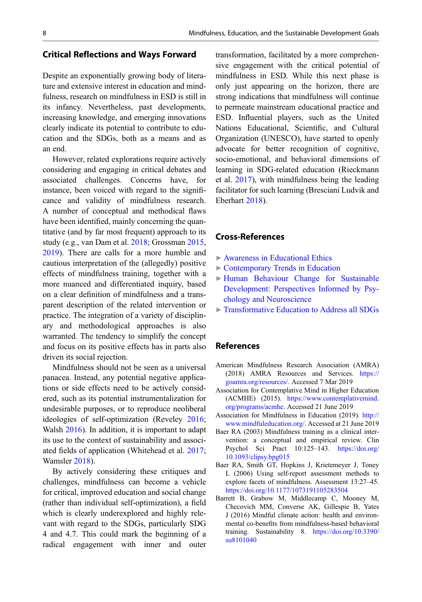#### <span id="page-7-0"></span>Critical Reflections and Ways Forward

Despite an exponentially growing body of literature and extensive interest in education and mindfulness, research on mindfulness in ESD is still in its infancy. Nevertheless, past developments, increasing knowledge, and emerging innovations clearly indicate its potential to contribute to education and the SDGs, both as a means and as an end.

However, related explorations require actively considering and engaging in critical debates and associated challenges. Concerns have, for instance, been voiced with regard to the significance and validity of mindfulness research. A number of conceptual and methodical flaws have been identified, mainly concerning the quantitative (and by far most frequent) approach to its study (e.g., van Dam et al. [2018;](#page-10-0) Grossman [2015](#page-9-0), [2019\)](#page-9-0). There are calls for a more humble and cautious interpretation of the (allegedly) positive effects of mindfulness training, together with a more nuanced and differentiated inquiry, based on a clear definition of mindfulness and a transparent description of the related intervention or practice. The integration of a variety of disciplinary and methodological approaches is also warranted. The tendency to simplify the concept and focus on its positive effects has in parts also driven its social rejection.

Mindfulness should not be seen as a universal panacea. Instead, any potential negative applications or side effects need to be actively considered, such as its potential instrumentalization for undesirable purposes, or to reproduce neoliberal ideologies of self-optimization (Reveley [2016;](#page-9-0) Walsh [2016](#page-10-0)). In addition, it is important to adapt its use to the context of sustainability and associated fields of application (Whitehead et al. [2017;](#page-10-0) Wamsler [2018](#page-10-0)).

By actively considering these critiques and challenges, mindfulness can become a vehicle for critical, improved education and social change (rather than individual self-optimization), a field which is clearly underexplored and highly relevant with regard to the SDGs, particularly SDG 4 and 4.7. This could mark the beginning of a radical engagement with inner and outer transformation, facilitated by a more comprehensive engagement with the critical potential of mindfulness in ESD. While this next phase is only just appearing on the horizon, there are strong indications that mindfulness will continue to permeate mainstream educational practice and ESD. Influential players, such as the United Nations Educational, Scientific, and Cultural Organization (UNESCO), have started to openly advocate for better recognition of cognitive, socio-emotional, and behavioral dimensions of learning in SDG-related education (Rieckmann et al. [2017](#page-9-0)), with mindfulness being the leading facilitator for such learning (Bresciani Ludvik and Eberhart [2018](#page-8-0)).

## Cross-References

- ▶ [Awareness in Educational Ethics](http://link.springer.com/search?facet-eisbn=978-3-319-69902-8&facet-content-type=ReferenceWorkEntry&query=Awareness in Educational Ethics)
- ▶ [Contemporary Trends in Education](http://link.springer.com/search?facet-eisbn=978-3-319-69902-8&facet-content-type=ReferenceWorkEntry&query=Contemporary Trends in Education)
- ▶ [Human Behaviour Change for Sustainable](http://link.springer.com/search?facet-eisbn=978-3-319-69902-8&facet-content-type=ReferenceWorkEntry&query=Human Behaviour Change for Sustainable Development: Perspectives Informed by Psychology and Neuroscience) [Development: Perspectives Informed by Psy](http://link.springer.com/search?facet-eisbn=978-3-319-69902-8&facet-content-type=ReferenceWorkEntry&query=Human Behaviour Change for Sustainable Development: Perspectives Informed by Psychology and Neuroscience)[chology and Neuroscience](http://link.springer.com/search?facet-eisbn=978-3-319-69902-8&facet-content-type=ReferenceWorkEntry&query=Human Behaviour Change for Sustainable Development: Perspectives Informed by Psychology and Neuroscience)
- ▶ [Transformative Education to Address all SDGs](http://link.springer.com/search?facet-eisbn=978-3-319-69902-8&facet-content-type=ReferenceWorkEntry&query=Transformative Education to Address all SDGs)

#### References

- American Mindfulness Research Association (AMRA) (2018) AMRA Resources and Services. [https://](https://goamra.org/resources/) [goamra.org/resources/](https://goamra.org/resources/). Accessed 7 Mar 2019
- Association for Contemplative Mind in Higher Education (ACMHE) (2015). [https://www.contemplativemind.](https://www.contemplativemind.org/programs/acmhe) [org/programs/acmhe](https://www.contemplativemind.org/programs/acmhe). Accessed 21 June 2019
- Association for Mindfulness in Education (2019). [http://](http://www.mindfuleducation.org/) [www.mindfuleducation.org/](http://www.mindfuleducation.org/). Accessed at 21 June 2019
- Baer RA (2003) Mindfulness training as a clinical intervention: a conceptual and empirical review. Clin Psychol Sci Pract 10:125–143. [https://doi.org/](https://doi.org/10.1093/clipsy.bpg015) [10.1093/clipsy.bpg015](https://doi.org/10.1093/clipsy.bpg015)
- Baer RA, Smith GT, Hopkins J, Krietemeyer J, Toney L (2006) Using self-report assessment methods to explore facets of mindfulness. Assessment 13:27–45. <https://doi.org/10.1177/1073191105283504>
- Barrett B, Grabow M, Middlecamp C, Mooney M, Checovich MM, Converse AK, Gillespie B, Yates J (2016) Mindful climate action: health and environmental co-benefits from mindfulness-based behavioral training. Sustainability 8. [https://doi.org/10.3390/](https://doi.org/10.3390/su8101040) [su8101040](https://doi.org/10.3390/su8101040)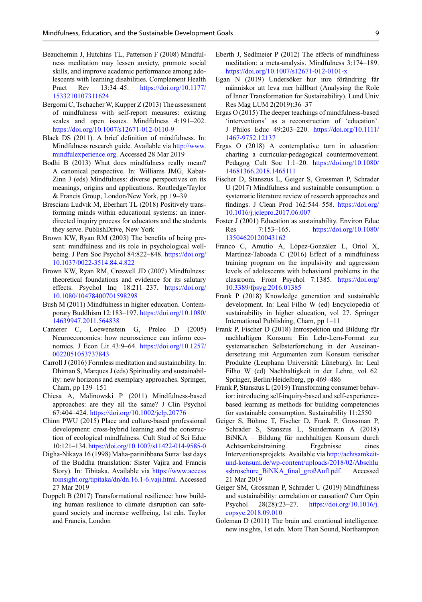- <span id="page-8-0"></span>Beauchemin J, Hutchins TL, Patterson F (2008) Mindfulness meditation may lessen anxiety, promote social skills, and improve academic performance among adolescents with learning disabilities. Complement Health Pract Rev 13:34–45. [https://doi.org/10.1177/](https://doi.org/10.1177/1533210107311624) [1533210107311624](https://doi.org/10.1177/1533210107311624)
- Bergomi C, Tschacher W, Kupper Z (2013) The assessment of mindfulness with self-report measures: existing scales and open issues. Mindfulness 4:191–202. <https://doi.org/10.1007/s12671-012-0110-9>
- Black DS (2011). A brief definition of mindfulness. In: Mindfulness research guide. Available via [http://www.](http://www.mindfulexperience.org) [mindfulexperience.org](http://www.mindfulexperience.org). Accessed 28 Mar 2019
- Bodhi B (2013) What does mindfulness really mean? A canonical perspective. In: Williams JMG, Kabat-Zinn J (eds) Mindfulness: diverse perspectives on its meanings, origins and applications. Routledge/Taylor & Francis Group, London/New York, pp 19–39
- Bresciani Ludvik M, Eberhart TL (2018) Positively transforming minds within educational systems: an innerdirected inquiry process for educators and the students they serve. PublishDrive, New York
- Brown KW, Ryan RM (2003) The benefits of being present: mindfulness and its role in psychological wellbeing. J Pers Soc Psychol 84:822–848. [https://doi.org/](https://doi.org/10.1037/0022-3514.84.4.822) [10.1037/0022-3514.84.4.822](https://doi.org/10.1037/0022-3514.84.4.822)
- Brown KW, Ryan RM, Creswell JD (2007) Mindfulness: theoretical foundations and evidence for its salutary effects. Psychol Inq 18:211–237. [https://doi.org/](https://doi.org/10.1080/10478400701598298) [10.1080/10478400701598298](https://doi.org/10.1080/10478400701598298)
- Bush M (2011) Mindfulness in higher education. Contemporary Buddhism 12:183–197. [https://doi.org/10.1080/](https://doi.org/10.1080/14639947.2011.564838) [14639947.2011.564838](https://doi.org/10.1080/14639947.2011.564838)
- Camerer C, Loewenstein G, Prelec D (2005) Neuroeconomics: how neuroscience can inform economics. J Econ Lit 43:9–64. [https://doi.org/10.1257/](https://doi.org/10.1257/0022051053737843) [0022051053737843](https://doi.org/10.1257/0022051053737843)
- Carroll J (2016) Formless meditation and sustainability. In: Dhiman S, Marques J (eds) Spirituality and sustainability: new horizons and exemplary approaches. Springer, Cham, pp 139–151
- Chiesa A, Malinowski P (2011) Mindfulness-based approaches: are they all the same? J Clin Psychol 67:404–424. <https://doi.org/10.1002/jclp.20776>
- Chinn PWU (2015) Place and culture-based professional development: cross-hybrid learning and the construction of ecological mindfulness. Cult Stud of Sci Educ 10:121–134. <https://doi.org/10.1007/s11422-014-9585-0>
- Digha-Nikaya 16 (1998) Maha-parinibbana Sutta: last days of the Buddha (translation: Sister Vajira and Francis Story). In: Tibitaka. Available via [https://www.access](https://www.accesstoinsight.org/tipitaka/dn/dn.16.1-6.vaji.html) [toinsight.org/tipitaka/dn/dn.16.1-6.vaji.html.](https://www.accesstoinsight.org/tipitaka/dn/dn.16.1-6.vaji.html) Accessed 27 Mar 2019
- Doppelt B (2017) Transformational resilience: how building human resilience to climate disruption can safeguard society and increase wellbeing, 1st edn. Taylor and Francis, London
- Eberth J, Sedlmeier P (2012) The effects of mindfulness meditation: a meta-analysis. Mindfulness 3:174–189. <https://doi.org/10.1007/s12671-012-0101-x>
- Egan N (2019) Undersöker hur inre förändring får människor att leva mer hållbart (Analysing the Role of Inner Transformation for Sustainability). Lund Univ Res Mag LUM 2(2019):36–37
- Ergas O (2015) The deeper teachings of mindfulness-based 'interventions' as a reconstruction of 'education'. J Philos Educ 49:203–220. [https://doi.org/10.1111/](https://doi.org/10.1111/1467-9752.12137) [1467-9752.12137](https://doi.org/10.1111/1467-9752.12137)
- Ergas O (2018) A contemplative turn in education: charting a curricular-pedagogical countermovement. Pedagog Cult Soc 1:1–20. [https://doi.org/10.1080/](https://doi.org/10.1080/14681366.2018.1465111) [14681366.2018.1465111](https://doi.org/10.1080/14681366.2018.1465111)
- Fischer D, Stanszus L, Geiger S, Grossman P, Schrader U (2017) Mindfulness and sustainable consumption: a systematic literature review of research approaches and findings. J Clean Prod 162:544–558. [https://doi.org/](https://doi.org/10.1016/j.jclepro.2017.06.007) [10.1016/j.jclepro.2017.06.007](https://doi.org/10.1016/j.jclepro.2017.06.007)
- Foster J (2001) Education as sustainability. Environ Educ Res 7:153–165. [https://doi.org/10.1080/](https://doi.org/10.1080/13504620120043162) [13504620120043162](https://doi.org/10.1080/13504620120043162)
- Franco C, Amutio A, López-González L, Oriol X, Martínez-Taboada C (2016) Effect of a mindfulness training program on the impulsivity and aggression levels of adolescents with behavioral problems in the classroom. Front Psychol 7:1385. [https://doi.org/](https://doi.org/10.3389/fpsyg.2016.01385) [10.3389/fpsyg.2016.01385](https://doi.org/10.3389/fpsyg.2016.01385)
- Frank P (2018) Knowledge generation and sustainable development. In: Leal Filho W (ed) Encyclopedia of sustainability in higher education, vol 27. Springer International Publishing, Cham, pp 1–11
- Frank P, Fischer D (2018) Introspektion und Bildung für nachhaltigen Konsum: Ein Lehr-Lern-Format zur systematischen Selbsterforschung in der Auseinandersetzung mit Argumenten zum Konsum tierischer Produkte (Leuphana Universität Lüneburg). In: Leal Filho W (ed) Nachhaltigkeit in der Lehre, vol 62. Springer, Berlin/Heidelberg, pp 469–486
- Frank P, Stanszus L (2019) Transforming consumer behavior: introducing self-inquiry-based and self-experiencebased learning as methods for building competencies for sustainable consumption. Sustainability 11:2550
- Geiger S, Böhme T, Fischer D, Frank P, Grossman P, Schrader S, Stanszus L, Sundermann A (2018) BiNKA – Bildung für nachhaltigen Konsum durch Achtsamkeitstraining. Ergebnisse eines Interventionsprojekts. Available via [http://achtsamkeit](http://achtsamkeit-und-konsum.de/wp-content/uploads/2018/02/Abschlussbrosch%C3%BCre_BiNKA_final_gro%C3%9FAufl.pdf)[und-konsum.de/wp-content/uploads/2018/02/Abschlu](http://achtsamkeit-und-konsum.de/wp-content/uploads/2018/02/Abschlussbrosch%C3%BCre_BiNKA_final_gro%C3%9FAufl.pdf) ssbroschüre BiNKA final großAufl.pdf. Accessed 21 Mar 2019
- Geiger SM, Grossman P, Schrader U (2019) Mindfulness and sustainability: correlation or causation? Curr Opin Psychol 28(28):23–27. [https://doi.org/10.1016/j.](https://doi.org/10.1016/j.copsyc.2018.09.010) [copsyc.2018.09.010](https://doi.org/10.1016/j.copsyc.2018.09.010)
- Goleman D (2011) The brain and emotional intelligence: new insights, 1st edn. More Than Sound, Northampton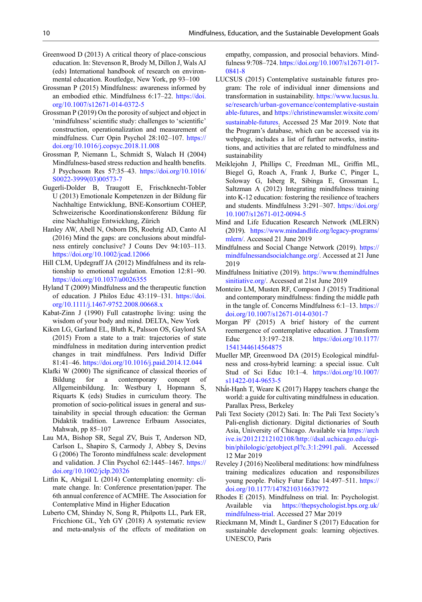- <span id="page-9-0"></span>Greenwood D (2013) A critical theory of place-conscious education. In: Stevenson R, Brody M, Dillon J, Wals AJ (eds) International handbook of research on environmental education. Routledge, New York, pp 93–100
- Grossman P (2015) Mindfulness: awareness informed by an embodied ethic. Mindfulness 6:17–22. [https://doi.](https://doi.org/10.1007/s12671-014-0372-5) [org/10.1007/s12671-014-0372-5](https://doi.org/10.1007/s12671-014-0372-5)
- Grossman P (2019) On the porosity of subject and object in 'mindfulness'scientific study: challenges to 'scientific' construction, operationalization and measurement of mindfulness. Curr Opin Psychol 28:102–107. [https://](https://doi.org/10.1016/j.copsyc.2018.11.008) [doi.org/10.1016/j.copsyc.2018.11.008](https://doi.org/10.1016/j.copsyc.2018.11.008)
- Grossman P, Niemann L, Schmidt S, Walach H (2004) Mindfulness-based stress reduction and health benefits. J Psychosom Res 57:35–43. [https://doi.org/10.1016/](https://doi.org/10.1016/S0022-3999(03)00573-7) [S0022-3999\(03\)00573-7](https://doi.org/10.1016/S0022-3999(03)00573-7)
- Gugerli-Dolder B, Traugott E, Frischknecht-Tobler U (2013) Emotionale Kompetenzen in der Bildung für Nachhaltige Entwicklung, BNE-Konsortium COHEP, Schweizerische Koordinationskonferenz Bildung für eine Nachhaltige Entwicklung, Zürich
- Hanley AW, Abell N, Osborn DS, Roehrig AD, Canto AI (2016) Mind the gaps: are conclusions about mindfulness entirely conclusive? J Couns Dev 94:103–113. <https://doi.org/10.1002/jcad.12066>
- Hill CLM, Updegraff JA (2012) Mindfulness and its relationship to emotional regulation. Emotion 12:81–90. <https://doi.org/10.1037/a0026355>
- Hyland T (2009) Mindfulness and the therapeutic function of education. J Philos Educ 43:119–131. [https://doi.](https://doi.org/10.1111/j.1467-9752.2008.00668.x) [org/10.1111/j.1467-9752.2008.00668.x](https://doi.org/10.1111/j.1467-9752.2008.00668.x)
- Kabat-Zinn J (1990) Full catastrophe living: using the wisdom of your body and mind. DELTA, New York
- Kiken LG, Garland EL, Bluth K, Palsson OS, Gaylord SA (2015) From a state to a trait: trajectories of state mindfulness in meditation during intervention predict changes in trait mindfulness. Pers Individ Differ 81:41–46. <https://doi.org/10.1016/j.paid.2014.12.044>
- Klafki W (2000) The significance of classical theories of Bildung for a contemporary concept of Allgemeinbildung. In: Westbury I, Hopmann S, Riquarts K (eds) Studies in curriculum theory. The promotion of socio-political issues in general and sustainability in special through education: the German Didaktik tradition. Lawrence Erlbaum Associates, Mahwah, pp 85–107
- Lau MA, Bishop SR, Segal ZV, Buis T, Anderson ND, Carlson L, Shapiro S, Carmody J, Abbey S, Devins G (2006) The Toronto mindfulness scale: development and validation. J Clin Psychol 62:1445–1467. [https://](https://doi.org/10.1002/jclp.20326) [doi.org/10.1002/jclp.20326](https://doi.org/10.1002/jclp.20326)
- Litfin K, Abigail L (2014) Contemplating enormity: climate change. In: Conference presentation/paper. The 6th annual conference of ACMHE. The Association for Contemplative Mind in Higher Education
- Luberto CM, Shinday N, Song R, Philpotts LL, Park ER, Fricchione GL, Yeh GY (2018) A systematic review and meta-analysis of the effects of meditation on

empathy, compassion, and prosocial behaviors. Mindfulness 9:708–724. [https://doi.org/10.1007/s12671-017-](https://doi.org/10.1007/s12671-017-0841-8) [0841-8](https://doi.org/10.1007/s12671-017-0841-8)

- LUCSUS (2015) Contemplative sustainable futures program: The role of individual inner dimensions and transformation in sustainability. [https://www.lucsus.lu.](https://www.lucsus.lu.se/research/urban-governance/contemplative-sustainable-futures) [se/research/urban-governance/contemplative-sustain](https://www.lucsus.lu.se/research/urban-governance/contemplative-sustainable-futures) [able-futures,](https://www.lucsus.lu.se/research/urban-governance/contemplative-sustainable-futures) and [https://christinewamsler.wixsite.com/](https://christinewamsler.wixsite.com/sustainable-futures) [sustainable-futures](https://christinewamsler.wixsite.com/sustainable-futures). Accessed 25 Mar 2019. Note that the Program's database, which can be accessed via its webpage, includes a list of further networks, institutions, and activities that are related to mindfulness and sustainability
- Meiklejohn J, Phillips C, Freedman ML, Griffin ML, Biegel G, Roach A, Frank J, Burke C, Pinger L, Soloway G, Isberg R, Sibinga E, Grossman L, Saltzman A (2012) Integrating mindfulness training into K-12 education: fostering the resilience of teachers and students. Mindfulness 3:291–307. [https://doi.org/](https://doi.org/10.1007/s12671-012-0094-5) [10.1007/s12671-012-0094-5](https://doi.org/10.1007/s12671-012-0094-5)
- Mind and Life Education Research Network (MLERN) (2019). [https://www.mindandlife.org/legacy-programs/](https://www.mindandlife.org/legacy-programs/mlern/) [mlern/](https://www.mindandlife.org/legacy-programs/mlern/). Accessed 21 June 2019
- Mindfulness and Social Change Network (2019). [https://](https://mindfulnessandsocialchange.org/) [mindfulnessandsocialchange.org/.](https://mindfulnessandsocialchange.org/) Accessed at 21 June 2019
- Mindfulness Initiative (2019). [https://www.themindfulnes](https://www.themindfulnessinitiative.org/) [sinitiative.org/](https://www.themindfulnessinitiative.org/). Accessed at 21st June 2019
- Monteiro LM, Musten RF, Compson J (2015) Traditional and contemporary mindfulness: finding the middle path in the tangle of. Concerns Mindfulness 6:1–13. [https://](https://doi.org/10.1007/s12671-014-0301-7) [doi.org/10.1007/s12671-014-0301-7](https://doi.org/10.1007/s12671-014-0301-7)
- Morgan PF (2015) A brief history of the current reemergence of contemplative education. J Transform Educ 13:197–218. [https://doi.org/10.1177/](https://doi.org/10.1177/1541344614564875) [1541344614564875](https://doi.org/10.1177/1541344614564875)
- Mueller MP, Greenwood DA (2015) Ecological mindfulness and cross-hybrid learning: a special issue. Cult Stud of Sci Educ 10:1–4. [https://doi.org/10.1007/](https://doi.org/10.1007/s11422-014-9653-5) [s11422-014-9653-5](https://doi.org/10.1007/s11422-014-9653-5)
- Nhất-Hạnh T, Weare K (2017) Happy teachers change the world: a guide for cultivating mindfulness in education. Parallax Press, Berkeley
- Pali Text Society (2012) Sati. In: The Pali Text Society's Pali-english dictionary. Digital dictionaries of South Asia, University of Chicago. Available via [https://arch](https://archive.is/20121212102108/http://dsal.uchicago.edu/cgi-bin/philologic/getobject.pl?c.3:1:2991.pali) [ive.is/20121212102108/http://dsal.uchicago.edu/cgi](https://archive.is/20121212102108/http://dsal.uchicago.edu/cgi-bin/philologic/getobject.pl?c.3:1:2991.pali)[bin/philologic/getobject.pl?c.3:1:2991.pali.](https://archive.is/20121212102108/http://dsal.uchicago.edu/cgi-bin/philologic/getobject.pl?c.3:1:2991.pali) Accessed 12 Mar 2019
- Reveley J (2016) Neoliberal meditations: how mindfulness training medicalizes education and responsibilizes young people. Policy Futur Educ 14:497–511. [https://](https://doi.org/10.1177/1478210316637972) [doi.org/10.1177/1478210316637972](https://doi.org/10.1177/1478210316637972)
- Rhodes E (2015). Mindfulness on trial. In: Psychologist. Available via [https://thepsychologist.bps.org.uk/](https://thepsychologist.bps.org.uk/mindfulness-trial) [mindfulness-trial](https://thepsychologist.bps.org.uk/mindfulness-trial). Accessed 27 Mar 2019
- Rieckmann M, Mindt L, Gardiner S (2017) Education for sustainable development goals: learning objectives. UNESCO, Paris